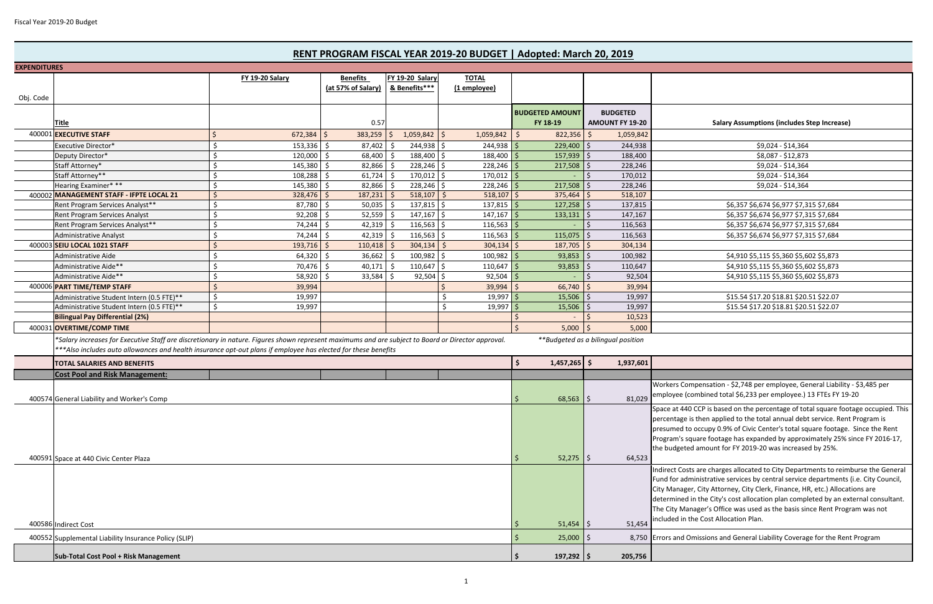| <b>EXPENDITURES</b> |                                                                                                                                                    |                                            |                         |                              |                                    |                                                                             |                         |                                                                                     |
|---------------------|----------------------------------------------------------------------------------------------------------------------------------------------------|--------------------------------------------|-------------------------|------------------------------|------------------------------------|-----------------------------------------------------------------------------|-------------------------|-------------------------------------------------------------------------------------|
|                     |                                                                                                                                                    | <b>FY 19-20 Salary</b>                     | <b>Benefits</b>         | FY 19-20 Salary              | <b>TOTAL</b>                       |                                                                             |                         |                                                                                     |
|                     |                                                                                                                                                    |                                            | (at 57% of Salary)      | & Benefits***                | (1 employee)                       |                                                                             |                         |                                                                                     |
| Obj. Code           |                                                                                                                                                    |                                            |                         |                              |                                    |                                                                             |                         |                                                                                     |
|                     |                                                                                                                                                    |                                            |                         |                              |                                    | <b>BUDGETED AMOUNT</b>                                                      | <b>BUDGETED</b>         |                                                                                     |
|                     | <b>Title</b>                                                                                                                                       |                                            | 0.57                    |                              |                                    | FY 18-19                                                                    | <b>AMOUNT FY 19-20</b>  | <b>Salary Assumptions (includes Step Increase)</b>                                  |
| 400001              | <b>EXECUTIVE STAFF</b>                                                                                                                             | 672,384                                    | 383,259<br>Ŝ.           | $1,059,842$ \$               | 1,059,842                          | Ś.<br>822,356                                                               | 1,059,842<br>Ŝ.         |                                                                                     |
|                     | Executive Director*                                                                                                                                | 153,336                                    | 87,402                  | 244,938 \$                   | 244,938                            | 229,400                                                                     | 244,938                 | \$9,024 - \$14,364                                                                  |
|                     | Deputy Director*                                                                                                                                   | \$.<br>120,000                             | 68,400                  | 188,400 \$                   | 188,400                            | 157,939                                                                     | 188,400                 | \$8,087 - \$12,873                                                                  |
|                     | Staff Attorney*                                                                                                                                    | 145,380<br>S                               | 82,866                  | $228,246$ \$                 | 228,246                            | 217,508                                                                     | 228,246                 | \$9,024 - \$14,364                                                                  |
|                     | Staff Attorney**                                                                                                                                   | Ŝ.<br>108,288                              | 61,724                  | $170,012$ \$                 | 170,012                            |                                                                             | 170,012                 | \$9,024 - \$14,364                                                                  |
|                     | Hearing Examiner***                                                                                                                                | Ŝ.<br>145,380                              | 82,866                  | $228,246$ \$                 | 228,246                            | 217,508                                                                     | 228,246                 | \$9,024 - \$14,364                                                                  |
|                     | 400002 MANAGEMENT STAFF - IFPTE LOCAL 21                                                                                                           | -Ś<br>328,476                              | 187,231<br><sup>5</sup> | 518,107                      | 518,107                            | 375,464                                                                     | 518,107                 |                                                                                     |
|                     | Rent Program Services Analyst**                                                                                                                    | .\$<br>87,780                              | 50,035<br>-S            | $137,815$ \$                 | 137,815                            | 127,258                                                                     | 137,815                 | \$6,357 \$6,674 \$6,977 \$7,315 \$7,684                                             |
|                     | Rent Program Services Analyst                                                                                                                      | 92,208<br>.S                               | 52,559                  | $147,167$ \$<br>-S           | $147,167$ \$                       | 133,131                                                                     | 147,167                 | \$6,357 \$6,674 \$6,977 \$7,315 \$7,684                                             |
|                     | Rent Program Services Analyst**                                                                                                                    | 74,244<br>S,                               | 42,319<br>-Ś            | $116,563$ \$<br>-Ś           | 116,563                            |                                                                             | 116,563                 | \$6,357 \$6,674 \$6,977 \$7,315 \$7,684                                             |
|                     | <b>Administrative Analyst</b>                                                                                                                      | 74,244                                     | 42,319                  | $116,563$ \$                 | 116,563                            | 115,075                                                                     | 116,563                 | \$6,357 \$6,674 \$6,977 \$7,315 \$7,684                                             |
|                     | 400003 SEIU LOCAL 1021 STAFF                                                                                                                       | -Ś<br>193,716                              | -Ś<br>110,418           | $304,134$ \$<br><sup>5</sup> | 304,134                            | 187,705                                                                     | 304,134                 |                                                                                     |
|                     | Administrative Aide                                                                                                                                | 64,320                                     | 36,662                  | 100,982 \$                   | 100,982                            | 93,853                                                                      | 100,982                 | \$4,910 \$5,115 \$5,360 \$5,602 \$5,873                                             |
|                     | Administrative Aide**                                                                                                                              | 70,476<br>.S                               | 40,171                  | $110,647$ \$<br>-Ś           | 110,647                            | 93,853                                                                      | 110,647                 | \$4,910 \$5,115 \$5,360 \$5,602 \$5,873                                             |
|                     | Administrative Aide**                                                                                                                              | 58,920<br>-\$                              | 33,584                  | $92,504$ \$                  | 92,504                             |                                                                             | 92,504                  | \$4,910 \$5,115 \$5,360 \$5,602 \$5,873                                             |
|                     | 400006 PART TIME/TEMP STAFF                                                                                                                        | - Ś<br>39,994                              |                         |                              | 39,994                             | 66,740                                                                      | 39,994                  |                                                                                     |
|                     | Administrative Student Intern (0.5 FTE)**                                                                                                          | \$<br>19,997                               |                         |                              | 19,997                             | 15,506                                                                      | 19,997                  | \$15.54 \$17.20 \$18.81 \$20.51 \$22.07                                             |
|                     | Administrative Student Intern (0.5 FTE)**                                                                                                          | - Ś<br>19,997                              |                         |                              | 19,997                             | 15,506                                                                      | 19,997                  | \$15.54 \$17.20 \$18.81 \$20.51 \$22.07                                             |
|                     |                                                                                                                                                    |                                            |                         |                              |                                    |                                                                             |                         |                                                                                     |
|                     | <b>Bilingual Pay Differential (2%)</b>                                                                                                             |                                            |                         |                              |                                    |                                                                             | 10,523                  |                                                                                     |
|                     | 400031 OVERTIME/COMP TIME                                                                                                                          |                                            |                         |                              |                                    | 5,000                                                                       | 5,000                   |                                                                                     |
|                     | *Salary increases for Executive Staff are discretionary in nature. Figures shown represent maximums and are subject to Board or Director approval. |                                            |                         |                              | **Budgeted as a bilingual position |                                                                             |                         |                                                                                     |
|                     | ***Also includes auto allowances and health insurance opt-out plans if employee has elected for these benefits                                     |                                            |                         |                              |                                    |                                                                             |                         |                                                                                     |
|                     | <b>TOTAL SALARIES AND BENEFITS</b>                                                                                                                 |                                            |                         |                              |                                    | $1,457,265$ \$                                                              | 1,937,601               |                                                                                     |
|                     | <b>Cost Pool and Risk Management:</b>                                                                                                              |                                            |                         |                              |                                    |                                                                             |                         |                                                                                     |
|                     |                                                                                                                                                    |                                            |                         |                              |                                    |                                                                             |                         | Workers Compensation - \$2,748 per employee, General Liability - \$3,485 per        |
|                     |                                                                                                                                                    |                                            |                         |                              |                                    | $68,563$   \$                                                               | 81,029                  | employee (combined total \$6,233 per employee.) 13 FTEs FY 19-20                    |
|                     |                                                                                                                                                    | 400574 General Liability and Worker's Comp |                         |                              |                                    |                                                                             |                         | Space at 440 CCP is based on the percentage of total square footage occupied. This  |
|                     |                                                                                                                                                    |                                            |                         |                              |                                    |                                                                             |                         | percentage is then applied to the total annual debt service. Rent Program is        |
|                     |                                                                                                                                                    |                                            |                         |                              |                                    |                                                                             |                         | presumed to occupy 0.9% of Civic Center's total square footage. Since the Rent      |
|                     |                                                                                                                                                    |                                            |                         |                              |                                    |                                                                             |                         | Program's square footage has expanded by approximately 25% since FY 2016-17,        |
|                     |                                                                                                                                                    |                                            |                         |                              |                                    |                                                                             |                         |                                                                                     |
|                     |                                                                                                                                                    |                                            |                         |                              |                                    |                                                                             |                         | the budgeted amount for FY 2019-20 was increased by 25%.                            |
|                     | 400591 Space at 440 Civic Center Plaza                                                                                                             |                                            |                         |                              |                                    |                                                                             | 52,275<br>64,523        |                                                                                     |
|                     |                                                                                                                                                    |                                            |                         |                              |                                    |                                                                             |                         | Indirect Costs are charges allocated to City Departments to reimburse the General   |
|                     |                                                                                                                                                    |                                            |                         |                              |                                    |                                                                             |                         | Fund for administrative services by central service departments (i.e. City Council, |
|                     |                                                                                                                                                    |                                            |                         |                              |                                    | City Manager, City Attorney, City Clerk, Finance, HR, etc.) Allocations are |                         |                                                                                     |
|                     |                                                                                                                                                    |                                            |                         |                              |                                    |                                                                             |                         | determined in the City's cost allocation plan completed by an external consultant.  |
|                     |                                                                                                                                                    |                                            |                         |                              |                                    |                                                                             |                         | The City Manager's Office was used as the basis since Rent Program was not          |
|                     | 400586 Indirect Cost                                                                                                                               |                                            |                         |                              |                                    |                                                                             | $51,454$   \$<br>51,454 | included in the Cost Allocation Plan.                                               |
|                     | 400552 Supplemental Liability Insurance Policy (SLIP)                                                                                              |                                            |                         |                              |                                    |                                                                             | $25,000$   \$           | 8,750 Errors and Omissions and General Liability Coverage for the Rent Program      |
|                     |                                                                                                                                                    |                                            |                         |                              |                                    |                                                                             |                         |                                                                                     |
|                     | Sub-Total Cost Pool + Risk Management                                                                                                              |                                            |                         |                              |                                    | $197,292$   \$                                                              | 205,756                 |                                                                                     |

## **RENT PROGRAM FISCAL YEAR 2019‐20 BUDGET | Adopted: March 20, 2019**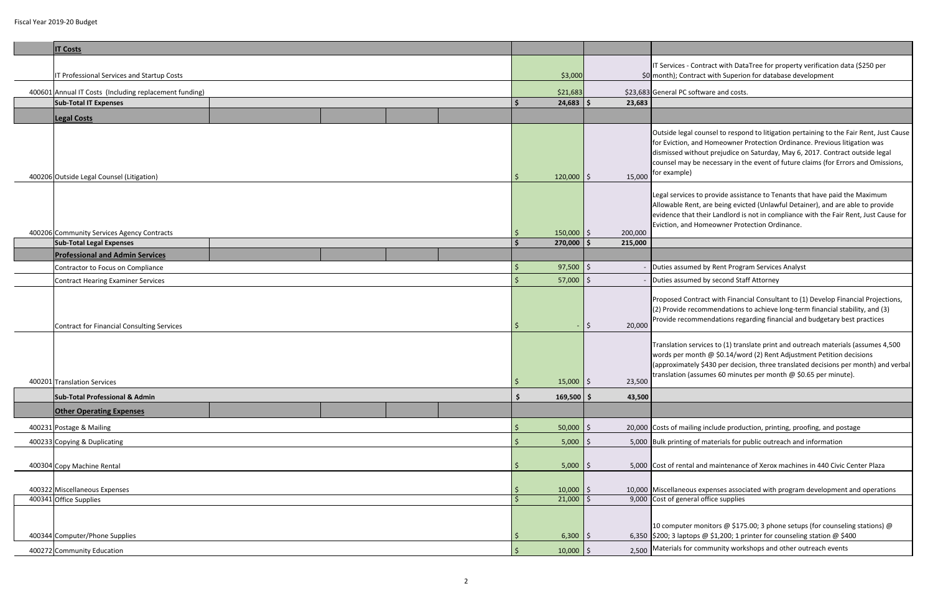| <b>IT Costs</b>                                        |                        |                   |                                                                                                                                        |  |                      |                           |                                                                                                                                                      |
|--------------------------------------------------------|------------------------|-------------------|----------------------------------------------------------------------------------------------------------------------------------------|--|----------------------|---------------------------|------------------------------------------------------------------------------------------------------------------------------------------------------|
|                                                        |                        |                   | IT Services - Contract with Data                                                                                                       |  |                      |                           |                                                                                                                                                      |
| IT Professional Services and Startup Costs             | \$3,000                |                   | \$0 month); Contract with Superio                                                                                                      |  |                      |                           |                                                                                                                                                      |
| 400601 Annual IT Costs (Including replacement funding) | \$21,683               |                   | \$23,683 General PC software and costs                                                                                                 |  |                      |                           |                                                                                                                                                      |
| <b>Sub-Total IT Expenses</b>                           |                        |                   |                                                                                                                                        |  | $24,683$ \$          | 23,683                    |                                                                                                                                                      |
| <b>Legal Costs</b>                                     |                        |                   |                                                                                                                                        |  |                      |                           |                                                                                                                                                      |
| 400206 Outside Legal Counsel (Litigation)              |                        |                   |                                                                                                                                        |  |                      | 15,000<br>$\zeta$         | Outside legal counsel to respor<br>for Eviction, and Homeowner F<br>dismissed without prejudice or<br>counsel may be necessary in th<br>for example) |
| 400206 Community Services Agency Contracts             |                        |                   |                                                                                                                                        |  |                      | $150,000$   \$<br>200,000 | Legal services to provide assist<br>Allowable Rent, are being evict<br>evidence that their Landlord is<br>Eviction, and Homeowner Prot               |
| <b>Sub-Total Legal Expenses</b>                        |                        |                   |                                                                                                                                        |  | 270,000              | <b>S</b><br>215,000       |                                                                                                                                                      |
| <b>Professional and Admin Services</b>                 |                        |                   |                                                                                                                                        |  |                      |                           |                                                                                                                                                      |
| Contractor to Focus on Compliance                      |                        |                   |                                                                                                                                        |  | 97,500               | $\zeta$                   | - Duties assumed by Rent Progra                                                                                                                      |
| Contract Hearing Examiner Services                     |                        |                   |                                                                                                                                        |  | 57,000               | $\zeta$                   | - Duties assumed by second Staf                                                                                                                      |
| Contract for Financial Consulting Services             | $\sim$                 | $\zeta$<br>20,000 | Proposed Contract with Financ<br>(2) Provide recommendations<br>Provide recommendations rega                                           |  |                      |                           |                                                                                                                                                      |
| 400201 Translation Services                            | $15,000$ \$<br>$\zeta$ | 23,500            | Translation services to (1) trans<br>words per month @ \$0.14/wor<br>(approximately \$430 per decisi<br>translation (assumes 60 minute |  |                      |                           |                                                                                                                                                      |
| <b>Sub-Total Professional &amp; Admin</b>              |                        |                   |                                                                                                                                        |  | \$<br>$169,500$   \$ | 43,500                    |                                                                                                                                                      |
| <b>Other Operating Expenses</b>                        |                        |                   |                                                                                                                                        |  |                      |                           |                                                                                                                                                      |
|                                                        |                        |                   |                                                                                                                                        |  |                      |                           | 20,000 Costs of mailing include produc                                                                                                               |
| 400231 Postage & Mailing                               | 50,000                 | \$.               |                                                                                                                                        |  |                      |                           |                                                                                                                                                      |
| 400233 Copying & Duplicating                           | 5,000                  | \$                | 5,000 Bulk printing of materials for p                                                                                                 |  |                      |                           |                                                                                                                                                      |
| 400304 Copy Machine Rental                             |                        |                   |                                                                                                                                        |  |                      | 5,000<br>\$.              | 5,000 Cost of rental and maintenance                                                                                                                 |
| 400322 Miscellaneous Expenses                          | $10,000$   \$          |                   | 10,000 Miscellaneous expenses associ                                                                                                   |  |                      |                           |                                                                                                                                                      |
| 400341 Office Supplies                                 | $21,000$ \$            |                   | 9,000 Cost of general office supplies                                                                                                  |  |                      |                           |                                                                                                                                                      |
| 400344 Computer/Phone Supplies                         |                        |                   |                                                                                                                                        |  | $6,300$   \$         |                           | 10 computer monitors @ \$175<br>6,350 \$200; 3 laptops @ \$1,200; 1 pr                                                                               |
| 400272 Community Education                             |                        |                   |                                                                                                                                        |  | $10,000$   \$        |                           | 2,500 Materials for community works                                                                                                                  |
|                                                        |                        |                   |                                                                                                                                        |  |                      |                           |                                                                                                                                                      |

Translation services to (1) translate print and outreach materials (assumes 4,500  $m$  month  $@$  \$0.14/word (2) Rent Adjustment Petition decisions (ately \$430 per decision, three translated decisions per month) and verbal (assumes 60 minutes per month @ \$0.65 per minute).

a iling include production, printing, proofing, and postage

ing of materials for public outreach and information

ntal and maintenance of Xerox machines in 440 Civic Center Plaza

eous expenses associated with program development and operations

ter monitors  $\omega$  \$175.00; 3 phone setups (for counseling stations)  $\omega$ ptops @ \$1,200; 1 printer for counseling station @ \$400

for community workshops and other outreach events

T Services - Contract with DataTree for property verification data (\$250 per ontract with Superion for database development

gal counsel to respond to litigation pertaining to the Fair Rent, Just Cause In, and Homeowner Protection Ordinance. Previous litigation was without prejudice on Saturday, May 6, 2017. Contract outside legal ay be necessary in the event of future claims (for Errors and Omissions, le).

ices to provide assistance to Tenants that have paid the Maximum Rent, are being evicted (Unlawful Detainer), and are able to provide e that their Landlord is not in compliance with the Fair Rent, Just Cause for and Homeowner Protection Ordinance.

umed by Rent Program Services Analyst

umed by second Staff Attorney

Contract with Financial Consultant to (1) Develop Financial Projections, e recommendations to achieve long-term financial stability, and (3) commendations regarding financial and budgetary best practices